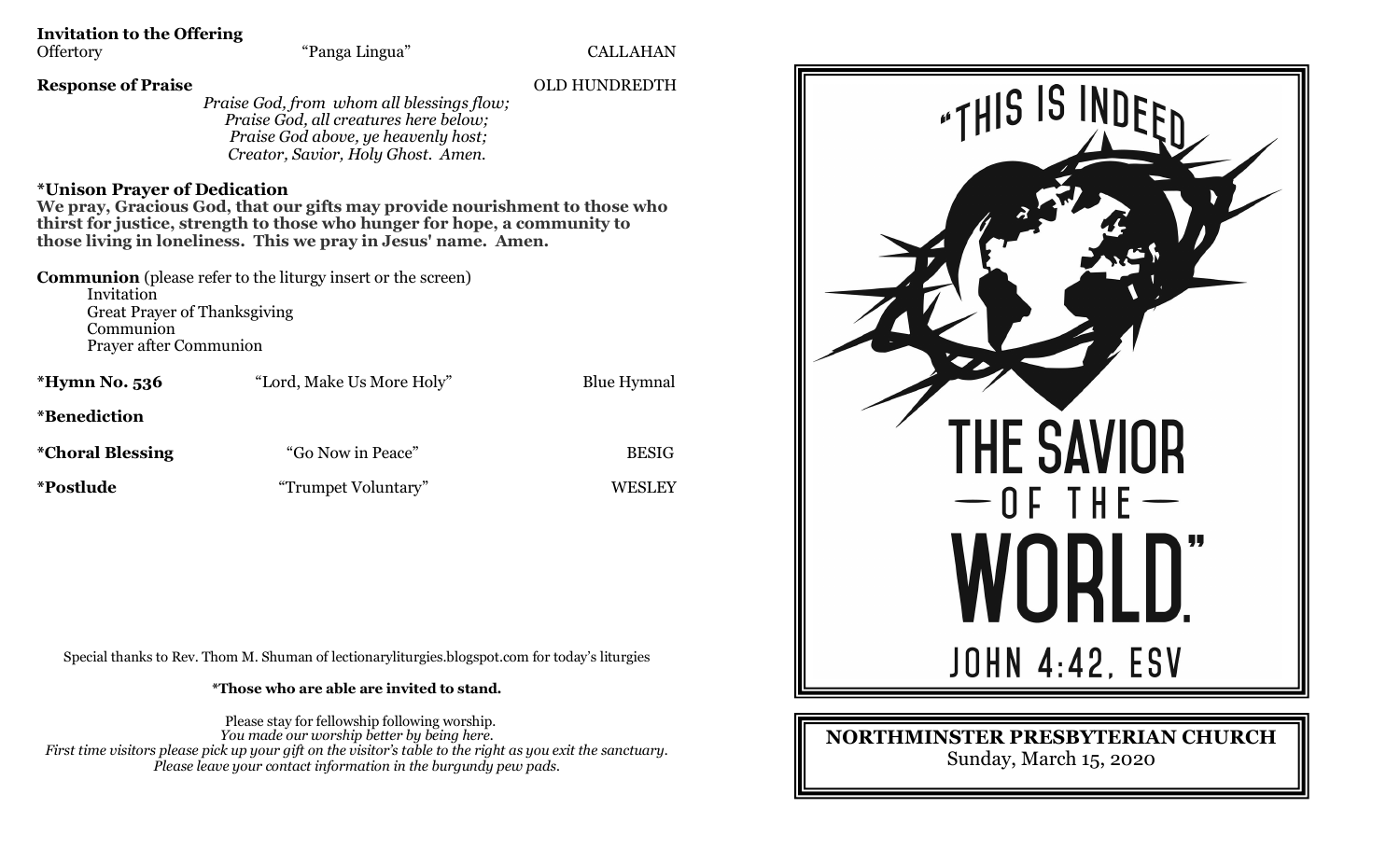## **Invitation to the Offering**

"Panga Lingua" CALLAHAN

## **Response of Praise** OLD HUNDREDTH

*Praise God, from whom all blessings flow; Praise God, all creatures here below; Praise God above, ye heavenly host; Creator, Savior, Holy Ghost. Amen.*

## **\*Unison Prayer of Dedication**

**We pray, Gracious God, that our gifts may provide nourishment to those who thirst for justice, strength to those who hunger for hope, a community to those living in loneliness. This we pray in Jesus' name. Amen.**

**Communion** (please refer to the liturgy insert or the screen) Invitation Great Prayer of Thanksgiving Communion Prayer after Communion

| *Hymn No. 536            | "Lord, Make Us More Holy" | <b>Blue Hymnal</b> |
|--------------------------|---------------------------|--------------------|
| <i>*Benediction</i>      |                           |                    |
| <i>*</i> Choral Blessing | "Go Now in Peace"         | <b>BESIG</b>       |
| <i>*Postlude</i>         | "Trumpet Voluntary"       | <b>WESLEY</b>      |

Special thanks to Rev. Thom M. Shuman of lectionaryliturgies.blogspot.com for today's liturgies

**\*Those who are able are invited to stand.**

Please stay for fellowship following worship. *You made our worship better by being here. First time visitors please pick up your gift on the visitor's table to the right as you exit the sanctuary. Please leave your contact information in the burgundy pew pads.*



## **NORTHMINSTER PRESBYTERIAN CHURCH** Sunday, March 15, 2020